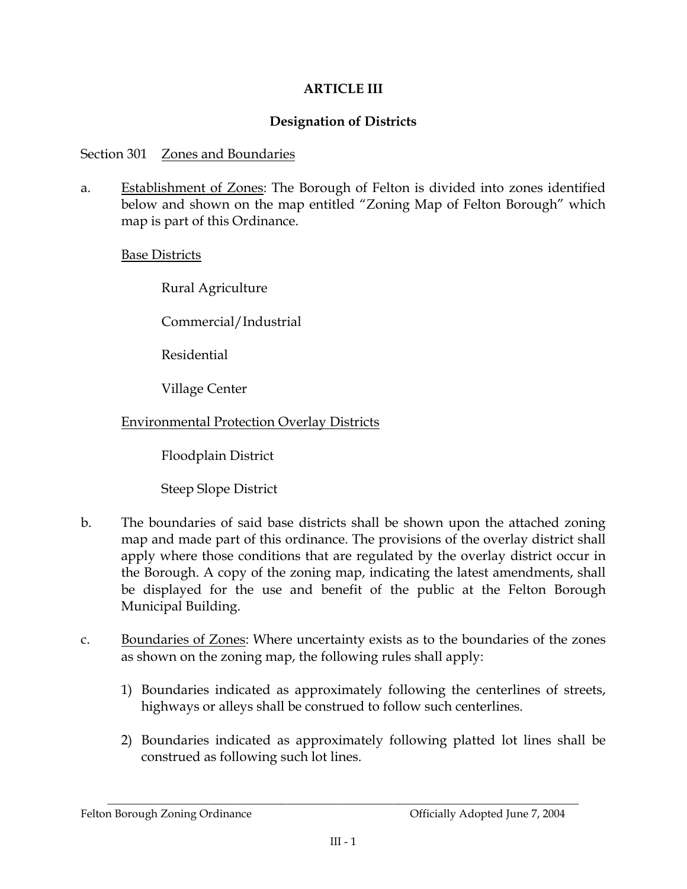## **ARTICLE III**

## **Designation of Districts**

### Section 301 Zones and Boundaries

Establishment of Zones: The Borough of Felton is divided into zones identified  $\mathbf{a}$ below and shown on the map entitled "Zoning Map of Felton Borough" which map is part of this Ordinance.

### **Base Districts**

Rural Agriculture

Commercial/Industrial

**Residential** 

Village Center

## **Environmental Protection Overlay Districts**

Floodplain District

Steep Slope District

- $\mathbf{b}$ . The boundaries of said base districts shall be shown upon the attached zoning map and made part of this ordinance. The provisions of the overlay district shall apply where those conditions that are regulated by the overlay district occur in the Borough. A copy of the zoning map, indicating the latest amendments, shall be displayed for the use and benefit of the public at the Felton Borough Municipal Building.
- Boundaries of Zones: Where uncertainty exists as to the boundaries of the zones  $C<sub>1</sub>$ as shown on the zoning map, the following rules shall apply:
	- 1) Boundaries indicated as approximately following the centerlines of streets, highways or alleys shall be construed to follow such centerlines.
	- 2) Boundaries indicated as approximately following platted lot lines shall be construed as following such lot lines.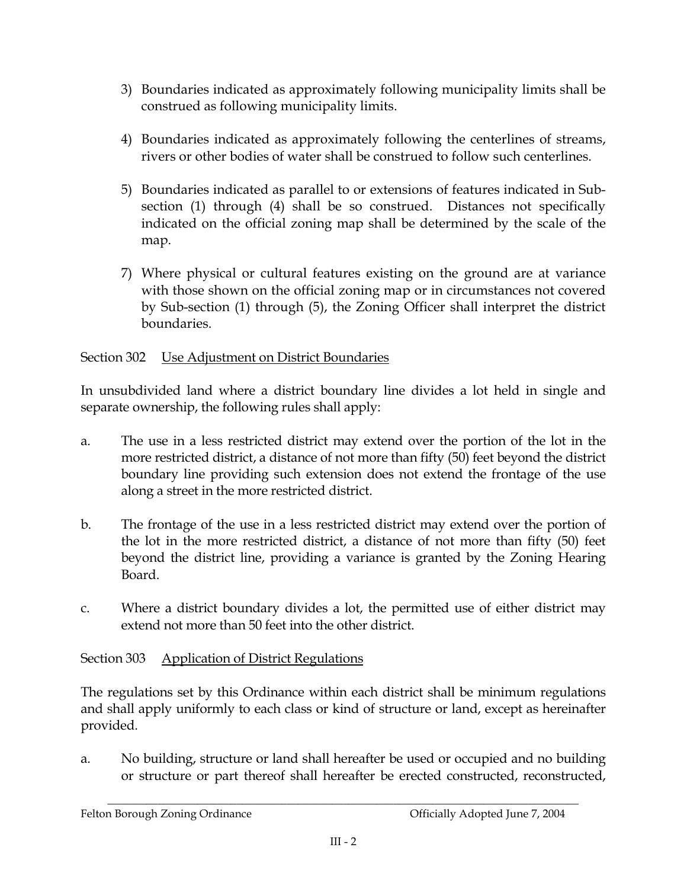- 3) Boundaries indicated as approximately following municipality limits shall be construed as following municipality limits.
- 4) Boundaries indicated as approximately following the centerlines of streams, rivers or other bodies of water shall be construed to follow such centerlines.
- 5) Boundaries indicated as parallel to or extensions of features indicated in Subsection (1) through (4) shall be so construed. Distances not specifically indicated on the official zoning map shall be determined by the scale of the map.
- 7) Where physical or cultural features existing on the ground are at variance with those shown on the official zoning map or in circumstances not covered by Sub-section (1) through (5), the Zoning Officer shall interpret the district boundaries.

## Section 302 Use Adjustment on District Boundaries

In unsubdivided land where a district boundary line divides a lot held in single and separate ownership, the following rules shall apply:

- a. The use in a less restricted district may extend over the portion of the lot in the more restricted district, a distance of not more than fifty (50) feet beyond the district boundary line providing such extension does not extend the frontage of the use along a street in the more restricted district.
- $\mathbf{b}$ . The frontage of the use in a less restricted district may extend over the portion of the lot in the more restricted district, a distance of not more than fifty (50) feet beyond the district line, providing a variance is granted by the Zoning Hearing Board.
- Where a district boundary divides a lot, the permitted use of either district may  $C<sub>1</sub>$ extend not more than 50 feet into the other district.

#### Section 303 **Application of District Regulations**

The regulations set by this Ordinance within each district shall be minimum regulations and shall apply uniformly to each class or kind of structure or land, except as hereinafter provided.

No building, structure or land shall hereafter be used or occupied and no building a. or structure or part thereof shall hereafter be erected constructed, reconstructed,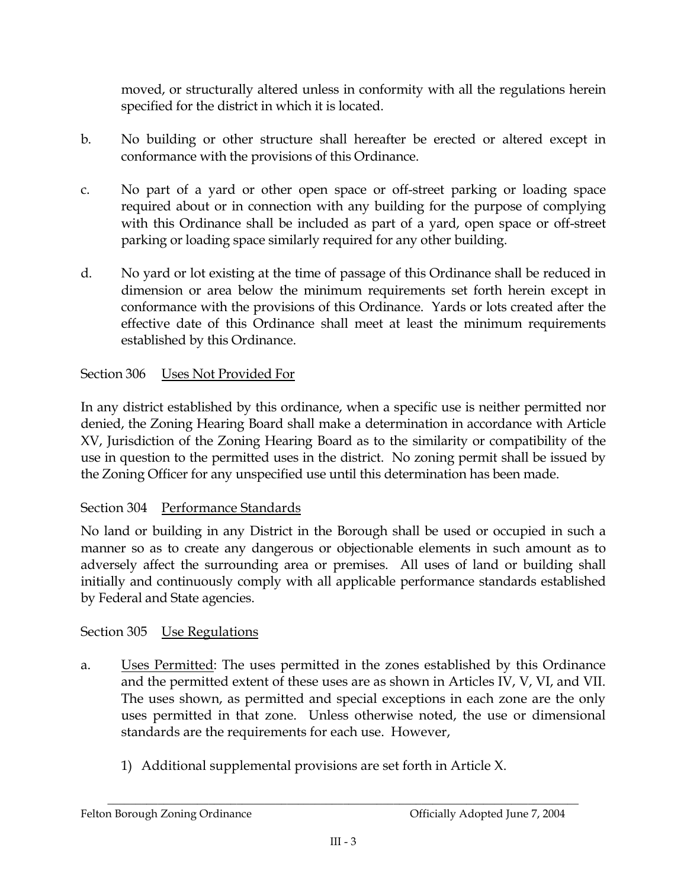moved, or structurally altered unless in conformity with all the regulations herein specified for the district in which it is located.

- No building or other structure shall hereafter be erected or altered except in  $\mathbf{b}$ . conformance with the provisions of this Ordinance.
- No part of a yard or other open space or off-street parking or loading space  $C<sub>1</sub>$ required about or in connection with any building for the purpose of complying with this Ordinance shall be included as part of a yard, open space or off-street parking or loading space similarly required for any other building.
- $d_{\cdot}$ No yard or lot existing at the time of passage of this Ordinance shall be reduced in dimension or area below the minimum requirements set forth herein except in conformance with the provisions of this Ordinance. Yards or lots created after the effective date of this Ordinance shall meet at least the minimum requirements established by this Ordinance.

#### Section 306 Uses Not Provided For

In any district established by this ordinance, when a specific use is neither permitted nor denied, the Zoning Hearing Board shall make a determination in accordance with Article XV, Jurisdiction of the Zoning Hearing Board as to the similarity or compatibility of the use in question to the permitted uses in the district. No zoning permit shall be issued by the Zoning Officer for any unspecified use until this determination has been made.

# Section 304 Performance Standards

No land or building in any District in the Borough shall be used or occupied in such a manner so as to create any dangerous or objectionable elements in such amount as to adversely affect the surrounding area or premises. All uses of land or building shall initially and continuously comply with all applicable performance standards established by Federal and State agencies.

# Section 305 Use Regulations

- Uses Permitted: The uses permitted in the zones established by this Ordinance  $a<sub>1</sub>$ and the permitted extent of these uses are as shown in Articles IV, V, VI, and VII. The uses shown, as permitted and special exceptions in each zone are the only uses permitted in that zone. Unless otherwise noted, the use or dimensional standards are the requirements for each use. However,
	- 1) Additional supplemental provisions are set forth in Article X.